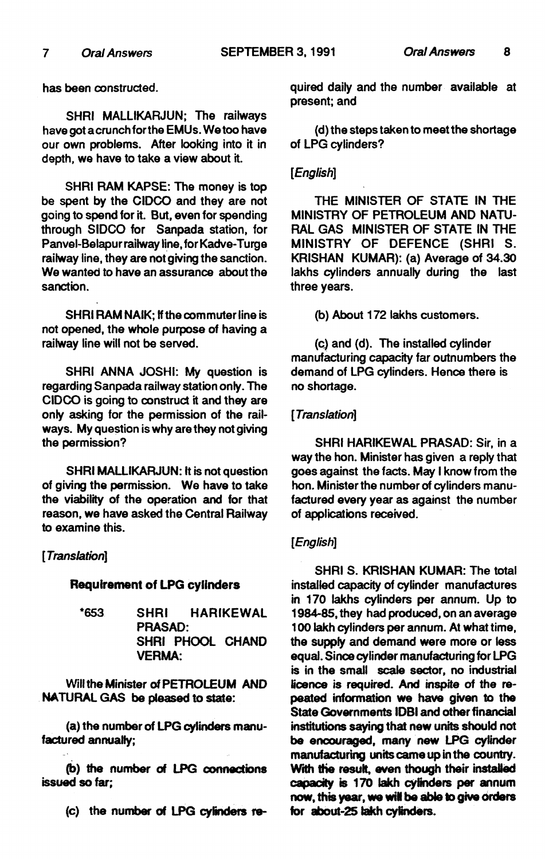has been constructed.

SHRI MALLIKARJUN; The railways have got a crunch for the EMUs. We too have our own problems. After looking into it in depth, we have to take a view about it.

SHRI RAM KAPSE: The money is top be spent by the CIDCO and they are not going to spend for it. But, even for spending through SIDCO for Sanpada station, for Panvei-Belapur railway line, for Kadve-Turge railway line, they are not giving the sanction. We wanted to have an assurance about the sanction.

SHRI RAM NAIK; If the commuter line is not opened, the whole purpose of having a railway line will not be served.

SHRI ANNA JOSHI: My question is regarding Sanpada railway station only. The CIDCO is going to construct it and they are only asking for the permission of the railways. My question is why are they not giving the permission?

SHRI MALLIKARJUN: It is not question of giving the permission. We have to take the viability of the operation and for that reason, we have asked the Central Railway to examine this.

# *[Translation]*

# Requirement of LPG cylinders

\*653 SHRI HARIKEWAL PRASAD: SHRI PHOOL CHAND VERMA:

Will the Minister of PETROlEUM AND NATURAL GAS be pleased to state:

(a) the number of LPG cylinders manufactured annually;

(b) the number of LPG connections issued so far;

(c) the number of LPG cylinders *18-*

quired daily and the number available at present; and

(d) the steps taken to meet the shortage of LPG cylinders?

# *[English]*

THE MINISTER OF STATE IN THE MINISTRY OF PETROLEUM AND NATU-RAL GAS MINISTER OF STATE IN THE MINISTRY OF DEFENCE (SHRI S. KRISHAN KUMAR): (a) Average of 34.30 lakhs cylinders annually during the last three years.

(b) About 172 lakhs customers.

(c) and (d). The installed cylinder manufacturing capacity far outnumbers the demand of LPG cylinders. Hence there is no shortage.

# *[Translation]*

SHRI HARIKEWAL PRASAD: Sir, in a way the hon. Minister has given a reply that goes against the facts. May I know from the hon. Minister the number of cylinders manufactured every year as against the number of applications received.

# *[English]*

SHRI S. KRISHAN KUMAR: The total installed capacity of cylinder manufactures in 170 lakhs cylinders per annum. Up to 1984-85, they had produced, on an average 1 00 lakh cylinders per annum. At what time, the supply and demand were more or less equal. Since cylinder manufacturing for LPG is in the small scale sector, no industrial licence is required. And inspite of the repeated information we have given to the State Governments lOBI and other financial institutions saying that new units should not be encouraged, many new LPG cylinder manufacturing units came up in the country. With the result, even though their installed capacity is 170 lakh cylinders par annum now, this year. we wit be able to give orders for about-25 lakh cylinders.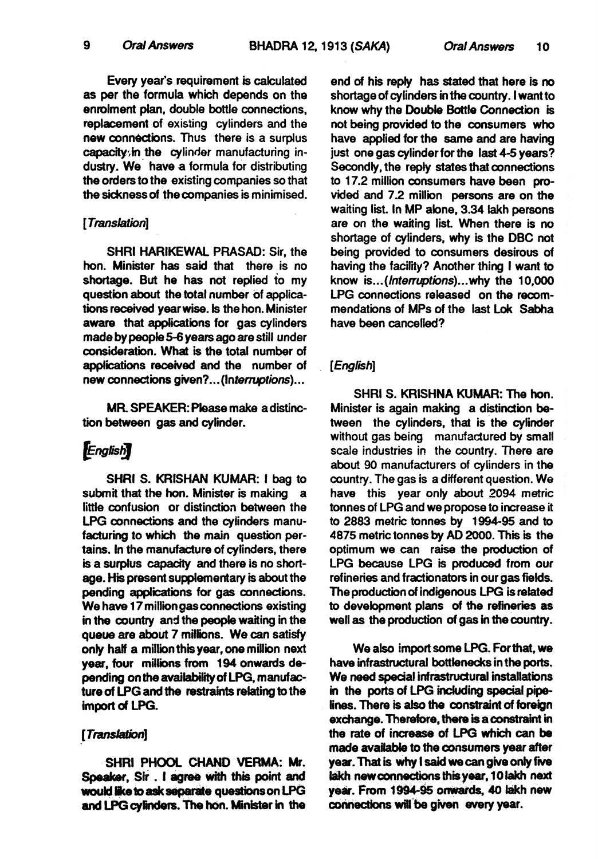Every year·s requirement is calculated as per the formula which depends on the enrolment plan. double bottle connections. replacement of existing cylinders and the new connections. Thus there is a surplus capacity; in the cylinder manufacturing industry. We have a formula for distributing the orders to the existing companies so that the sickness of the companies is minimised.

#### [*Translation*]

SHRI HARIKEWAL PRASAD: Sir, the hon. Minister has said that there is no shortage. But he has not replied *io* my question about the total number of applications received year wise. Is the hon. Minister aware that applications for gas cylinders made by people 5-6 years ago are still under consideration. What is the total number of applications received and the number of new connections given? ... (Interruptions) ...

MR SPEAKER: Please make a distinction between gas and cylinder.

# **English**

SHRI S. KRISHAN KUMAR: I bag to submit that the hon. Minister is making little confusion or distinction between the LPG connections and the cylinders manufacturing to which the main question pertains. In the manufacture of cylinders, there is a surplus capacity and there is no shortage. His present supplementary is about the pending applications for gas connections. We have 17 million gas connections existing in the country and the people waiting in the queue are about 7 millions. We can satisfy only half a million this year, one million next year, four millions from 194 onwards depending on the availability of LPG. manufacture of LPG and the restraints relating to the import of LPG.

### [Translation]

SHRI PHOOl CHAND VERMA: Mr. Speaker, Sir . I agree with this point and would like to ask separate questions on LPG and LPG cylinders. The hon. Minister in the end of his reply has stated that here is no shortage of cylinders in the country. I want to know why the Double Bottle Connection is not being provided to the consumers who have applied for the same and are having just one gas cylinder for the last 4-5 years? Secondly. the reply states that connections to 17.2 million consumers have been provided and 7.2 million persons are on the waiting list. In MP alone. 3.34 lakh persons are on the waiting list. When there is no shortage of cylinders. why is the DBC not being provided to consumers desirous of having the facility? Another thing I want to know is... (*Interruptions*)... why the 10,000 LPG connections released on the recommendations of MPs of the last Lok Sabha have been cancelled?

#### *[English]*

SHRI S. KRISHNA KUMAR: The hon. Minister is again making a distinction between the cylinders, that is the cylinder without gas being manufadured by small scale industries in the country. There are about 90 manufacturers of cylinders in the country. The gas is a different question. We have this year only about 2094 metric tonnes of LPG and we propose to increase it to 2883 metric tonnes by 1994-95 and to 4875 metric tonnes by AD 2000. This is the optimum we can raise the production of LPG because LPG is produced from our refineries and fractionators in our gas fields. The production of indigenous LPG is related to development plans of the refineries as well as the production of gas in the country.

We also import some LPG. Forthat, we have infrastructural bottlenecks in the ports. We need special infrastructural installations in the ports of LPG including special pipelines. There is also the constraint of foreign exchange. Therefore, there is a constraint in the rate of increase of LPG which can be made avalable to the consumers year after year. That is Why I said we can give only five lakh new connections this year, 10 lakh next year. From 1994-95 onwards. 40 lakh new connections will be given every year.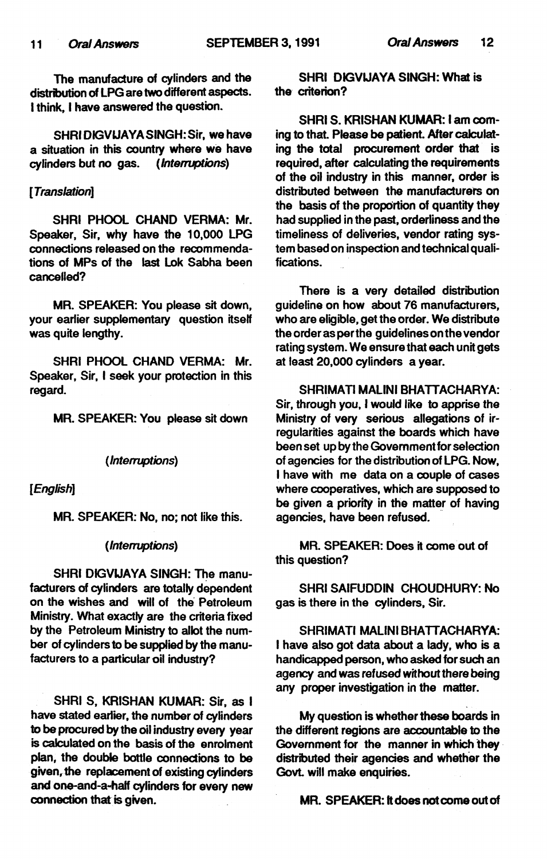The manufacture of cylinders and the distribution of LPG are two different aspects. I think, I have answered the question.

SHRI DIGVLJAYA SINGH: Sir, we have a situation in this country where we have<br>cylinders but no gas. (Interruptions)  $c$ *vinders but no gas.* 

## *(Translation]*

SHRI PHOOL CHAND VERMA: Mr. Speaker, Sir, why have the 10,000 LPG connections released on the recommendations of MPs of the last lok Sabha been cancelled?

MR. SPEAKER: You please sit down, your earlier supplementary question itself was quite lengthy.

SHRI PHOOl CHAND VERMA: Mr. Speaker, Sir, I seek your protection in this regard.

MR. SPEAKER: You please sit down

#### *(Interruptions}*

[*English*]

MR. SPEAKER: No, no; not like this.

#### *{Interruptions)*

SHRI DIGVLJAYA SINGH: The manufacturers of cylinders are totally dependent on the wishes and will of the Petroleum Ministry. What exactly are the criteria fixed by the Petroleum Ministry to allot the number of cylinders to be supplied by the manufacturers to a particular oil industry?

SHRI S, KRISHAN KUMAR: Sir, as I have stated earlier, the number of cylinders to be procured by the oil industry every year is calculated on the basis of the enrolment plan, the double bottle connections to be given, the replacement of existing cylinders and one-and-a-half cylinders for every new connection that is given.

SHRI DIGVLJAYA SINGH: What is the criterion?

SHRI S. KRISHAN KUMAR: I am coming to that. Please be patient. After calculating the total procurement order that is required, after calculating the requirements of the oil industry in this manner, order is distributed between the manufacturers on the basis of the proportion of quantity they had supplied in the past, orderliness and the timeliness of deliveries, vendor rating system based on inspection and technical qualifications.

There is a very detailed distribution guideline on how about 76 manufacturers, who are eligible, get the order. We distribute the order as per the guidelines on the vendor rating system. We ensure that each unit gets at least 20,000 cylinders a year.

SHRIMATI MALINI BHATTACHARYA: Sir, through you, *I* would like to apprise the Ministry of very serious allegations of irregularities against the boards which have been set up by the Government for selection of agencies for the distribution of LPG. Now, I have with me data on a couple of cases where cooperatives, which are supposed to be given a priority in the matter of having agencies, have been refused.

MR. SPEAKER: Does it come out of this question?

SHRI SAIFUDDIN CHOUDHURY: No gas is there in the cylinders, Sir.

SHRIMATI MALINI BHATTACHARYA: I have also got data about a lady, who is a handicapped person, who asked for such an agency and was refused without there being any proper investigation in the matter.

My question is whether these boards in the different regions are accountable to the Government for the manner in which they distributed their agencies and whether the Govt. will make enquiries.

MR. SPEAKER: It does not come out of